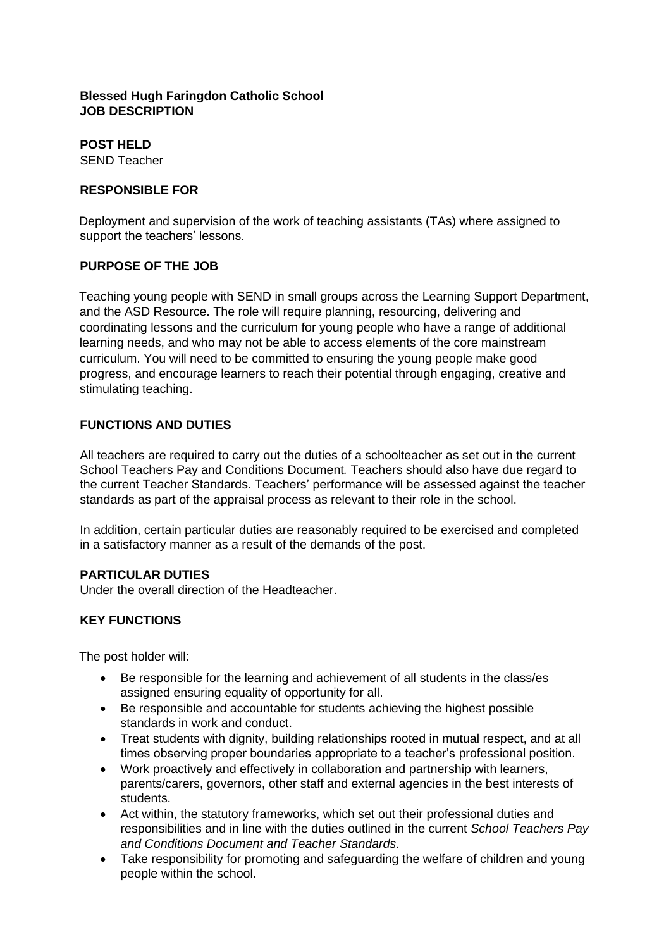## **Blessed Hugh Faringdon Catholic School JOB DESCRIPTION**

**POST HELD** SEND Teacher

### **RESPONSIBLE FOR**

Deployment and supervision of the work of teaching assistants (TAs) where assigned to support the teachers' lessons.

# **PURPOSE OF THE JOB**

Teaching young people with SEND in small groups across the Learning Support Department, and the ASD Resource. The role will require planning, resourcing, delivering and coordinating lessons and the curriculum for young people who have a range of additional learning needs, and who may not be able to access elements of the core mainstream curriculum. You will need to be committed to ensuring the young people make good progress, and encourage learners to reach their potential through engaging, creative and stimulating teaching.

# **FUNCTIONS AND DUTIES**

All teachers are required to carry out the duties of a schoolteacher as set out in the current [School Teachers Pay and Conditions](https://www.education.gov.uk/publications/) Document*[.](https://www.education.gov.uk/publications/)* Teachers should also have due regard to the current Teacher Standards. Teachers' performance will be assessed against the teacher standards [a](https://www.education.gov.uk/publications/standard/publicationDetail/Page1/DFE-00066-2011)s part of the appraisal process as relevant to their role in the school.

In addition, certain particular duties are reasonably required to be exercised and completed in a satisfactory manner as a result of the demands of the post.

### **PARTICULAR DUTIES**

Under the overall direction of the Headteacher.

### **KEY FUNCTIONS**

The post holder will:

- Be responsible for the learning and achievement of all students in the class/es assigned ensuring equality of opportunity for all.
- Be responsible and accountable for students achieving the highest possible standards in work and conduct.
- Treat students with dignity, building relationships rooted in mutual respect, and at all times observing proper boundaries appropriate to a teacher's professional position.
- Work proactively and effectively in collaboration and partnership with learners, parents/carers, governors, other staff and external agencies in the best interests of students.
- Act within, the statutory frameworks, which set out their professional duties and responsibilities and in line with the duties outlined in the current *School Teachers Pay and Conditions Document and Teacher Standards.*
- Take responsibility for promoting and safeguarding the welfare of children and young people within the school.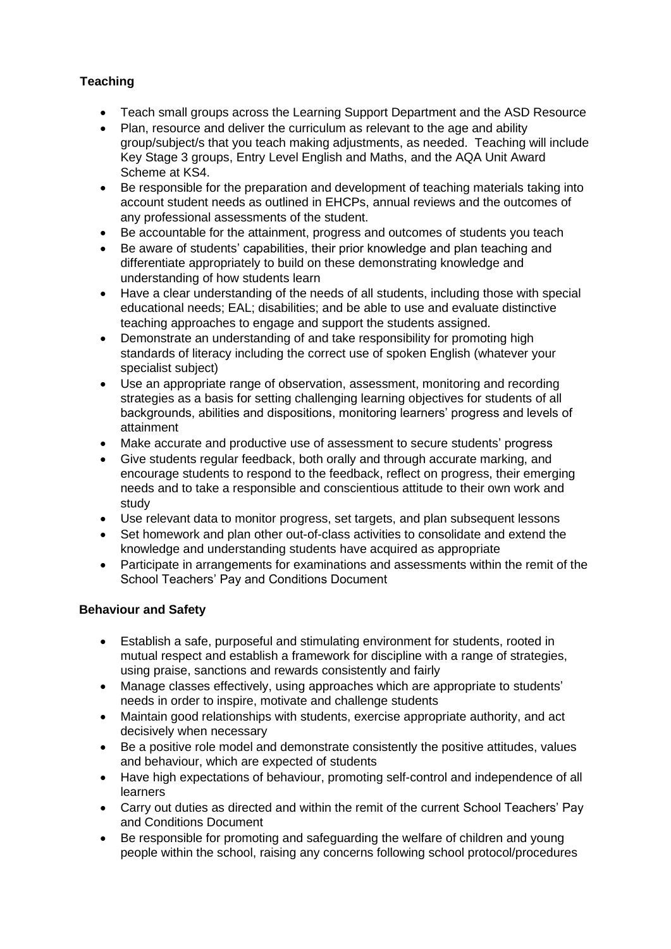# **Teaching**

- Teach small groups across the Learning Support Department and the ASD Resource
- Plan, resource and deliver the curriculum as relevant to the age and ability group/subject/s that you teach making adjustments, as needed. Teaching will include Key Stage 3 groups, Entry Level English and Maths, and the AQA Unit Award Scheme at KS4.
- Be responsible for the preparation and development of teaching materials taking into account student needs as outlined in EHCPs, annual reviews and the outcomes of any professional assessments of the student.
- Be accountable for the attainment, progress and outcomes of students you teach
- Be aware of students' capabilities, their prior knowledge and plan teaching and differentiate appropriately to build on these demonstrating knowledge and understanding of how students learn
- Have a clear understanding of the needs of all students, including those with special educational needs; EAL; disabilities; and be able to use and evaluate distinctive teaching approaches to engage and support the students assigned.
- Demonstrate an understanding of and take responsibility for promoting high standards of literacy including the correct use of spoken English (whatever your specialist subject)
- Use an appropriate range of observation, assessment, monitoring and recording strategies as a basis for setting challenging learning objectives for students of all backgrounds, abilities and dispositions, monitoring learners' progress and levels of attainment
- Make accurate and productive use of assessment to secure students' progress
- Give students regular feedback, both orally and through accurate marking, and encourage students to respond to the feedback, reflect on progress, their emerging needs and to take a responsible and conscientious attitude to their own work and study
- Use relevant data to monitor progress, set targets, and plan subsequent lessons
- Set homework and plan other out-of-class activities to consolidate and extend the knowledge and understanding students have acquired as appropriate
- Participate in arrangements for examinations and assessments within the remit of the School Teachers' Pay and Conditions Document

# **Behaviour and Safety**

- Establish a safe, purposeful and stimulating environment for students, rooted in mutual respect and establish a framework for discipline with a range of strategies, using praise, sanctions and rewards consistently and fairly
- Manage classes effectively, using approaches which are appropriate to students' needs in order to inspire, motivate and challenge students
- Maintain good relationships with students, exercise appropriate authority, and act decisively when necessary
- Be a positive role model and demonstrate consistently the positive attitudes, values and behaviour, which are expected of students
- Have high expectations of behaviour, promoting self-control and independence of all learners
- Carry out duties as directed and within the remit of the current School Teachers' Pay and Conditions Document
- Be responsible for promoting and safeguarding the welfare of children and young people within the school, raising any concerns following school protocol/procedures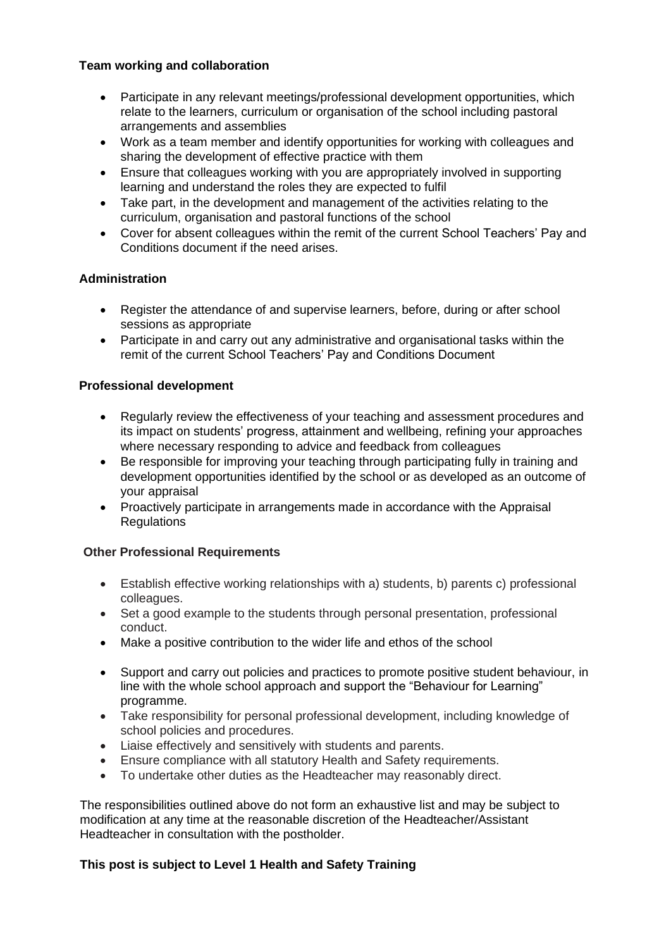# **Team working and collaboration**

- Participate in any relevant meetings/professional development opportunities, which relate to the learners, curriculum or organisation of the school including pastoral arrangements and assemblies
- Work as a team member and identify opportunities for working with colleagues and sharing the development of effective practice with them
- Ensure that colleagues working with you are appropriately involved in supporting learning and understand the roles they are expected to fulfil
- Take part, in the development and management of the activities relating to the curriculum, organisation and pastoral functions of the school
- Cover for absent colleagues within the remit of the current School Teachers' Pay and Conditions document if the need arises.

# **Administration**

- Register the attendance of and supervise learners, before, during or after school sessions as appropriate
- Participate in and carry out any administrative and organisational tasks within the remit of the current School Teachers' Pay and Conditions Document

# **Professional development**

- Regularly review the effectiveness of your teaching and assessment procedures and its impact on students' progress, attainment and wellbeing, refining your approaches where necessary responding to advice and feedback from colleagues
- Be responsible for improving your teaching through participating fully in training and development opportunities identified by the school or as developed as an outcome of your appraisal
- Proactively participate in arrangements made in accordance with the Appraisal **Regulations**

### **Other Professional Requirements**

- Establish effective working relationships with a) students, b) parents c) professional colleagues.
- Set a good example to the students through personal presentation, professional conduct.
- Make a positive contribution to the wider life and ethos of the school
- Support and carry out policies and practices to promote positive student behaviour, in line with the whole school approach and support the "Behaviour for Learning" programme.
- Take responsibility for personal professional development, including knowledge of school policies and procedures.
- Liaise effectively and sensitively with students and parents.
- Ensure compliance with all statutory Health and Safety requirements.
- To undertake other duties as the Headteacher may reasonably direct.

The responsibilities outlined above do not form an exhaustive list and may be subject to modification at any time at the reasonable discretion of the Headteacher/Assistant Headteacher in consultation with the postholder.

# **This post is subject to Level 1 Health and Safety Training**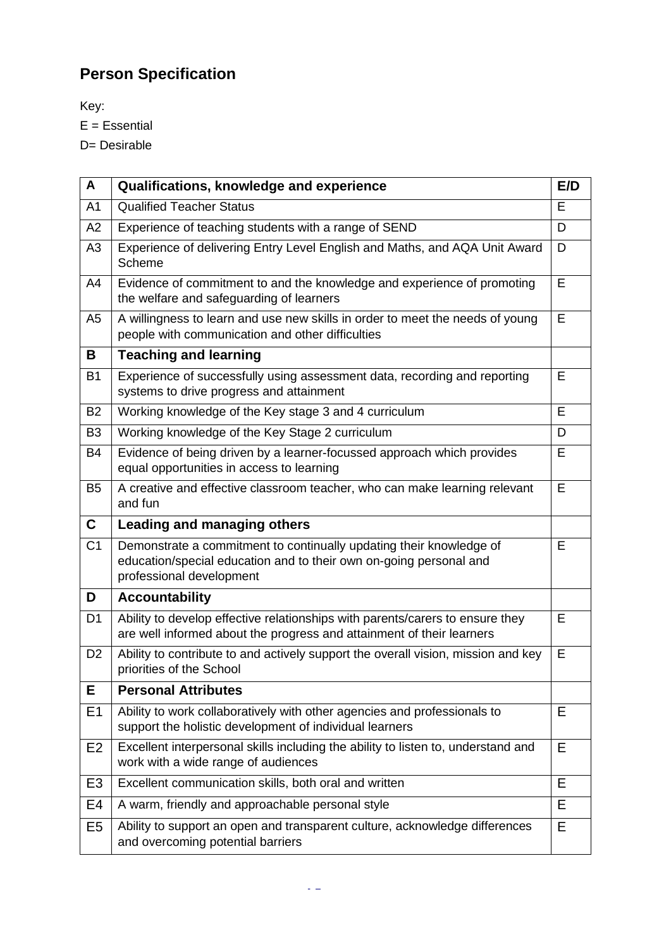# **Person Specification**

Key:

E = Essential

D= Desirable

| A              | Qualifications, knowledge and experience                                                                                                                              | E/D |
|----------------|-----------------------------------------------------------------------------------------------------------------------------------------------------------------------|-----|
| A <sub>1</sub> | <b>Qualified Teacher Status</b>                                                                                                                                       | Е   |
| A2             | Experience of teaching students with a range of SEND                                                                                                                  | D   |
| A <sub>3</sub> | Experience of delivering Entry Level English and Maths, and AQA Unit Award<br>Scheme                                                                                  | D   |
| A4             | Evidence of commitment to and the knowledge and experience of promoting<br>the welfare and safeguarding of learners                                                   | E   |
| A <sub>5</sub> | A willingness to learn and use new skills in order to meet the needs of young<br>people with communication and other difficulties                                     | E   |
| В              | <b>Teaching and learning</b>                                                                                                                                          |     |
| <b>B1</b>      | Experience of successfully using assessment data, recording and reporting<br>systems to drive progress and attainment                                                 | E   |
| <b>B2</b>      | Working knowledge of the Key stage 3 and 4 curriculum                                                                                                                 | E   |
| B <sub>3</sub> | Working knowledge of the Key Stage 2 curriculum                                                                                                                       | D   |
| <b>B4</b>      | Evidence of being driven by a learner-focussed approach which provides<br>equal opportunities in access to learning                                                   | E   |
| B <sub>5</sub> | A creative and effective classroom teacher, who can make learning relevant<br>and fun                                                                                 | E   |
| C              | <b>Leading and managing others</b>                                                                                                                                    |     |
| C <sub>1</sub> | Demonstrate a commitment to continually updating their knowledge of<br>education/special education and to their own on-going personal and<br>professional development | Е   |
| D              | <b>Accountability</b>                                                                                                                                                 |     |
| D <sub>1</sub> | Ability to develop effective relationships with parents/carers to ensure they<br>are well informed about the progress and attainment of their learners                | E   |
| D <sub>2</sub> | Ability to contribute to and actively support the overall vision, mission and key<br>priorities of the School                                                         | E   |
| E              | <b>Personal Attributes</b>                                                                                                                                            |     |
| E1             | Ability to work collaboratively with other agencies and professionals to<br>support the holistic development of individual learners                                   | E   |
| E <sub>2</sub> | Excellent interpersonal skills including the ability to listen to, understand and<br>work with a wide range of audiences                                              | E   |
| E <sub>3</sub> | Excellent communication skills, both oral and written                                                                                                                 | E.  |
| E4             | A warm, friendly and approachable personal style                                                                                                                      | Е   |
| E <sub>5</sub> | Ability to support an open and transparent culture, acknowledge differences<br>and overcoming potential barriers                                                      | E   |